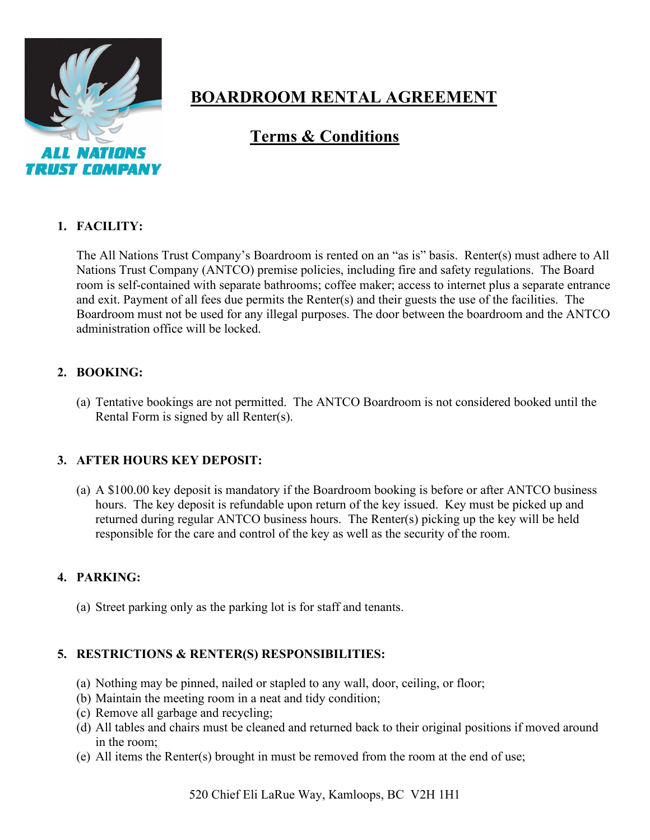

# **BOARDROOM RENTAL AGREEMENT**

# **Terms & Conditions**

#### **1. FACILITY:**

The All Nations Trust Company's Boardroom is rented on an "as is" basis. Renter(s) must adhere to All Nations Trust Company (ANTCO) premise policies, including fire and safety regulations. The Board room is self-contained with separate bathrooms; coffee maker; access to internet plus a separate entrance and exit. Payment of all fees due permits the Renter(s) and their guests the use of the facilities. The Boardroom must not be used for any illegal purposes. The door between the boardroom and the ANTCO administration office will be locked.

## **2. BOOKING:**

(a) Tentative bookings are not permitted. The ANTCO Boardroom is not considered booked until the Rental Form is signed by all Renter(s).

## **3. AFTER HOURS KEY DEPOSIT:**

(a) A \$100.00 key deposit is mandatory if the Boardroom booking is before or after ANTCO business hours. The key deposit is refundable upon return of the key issued. Key must be picked up and returned during regular ANTCO business hours. The Renter(s) picking up the key will be held responsible for the care and control of the key as well as the security of the room.

## **4. PARKING:**

(a) Street parking only as the parking lot is for staff and tenants.

#### **5. RESTRICTIONS & RENTER(S) RESPONSIBILITIES:**

- (a) Nothing may be pinned, nailed or stapled to any wall, door, ceiling, or floor;
- (b) Maintain the meeting room in a neat and tidy condition;
- (c) Remove all garbage and recycling;
- (d) All tables and chairs must be cleaned and returned back to their original positions if moved around in the room;
- (e) All items the Renter(s) brought in must be removed from the room at the end of use;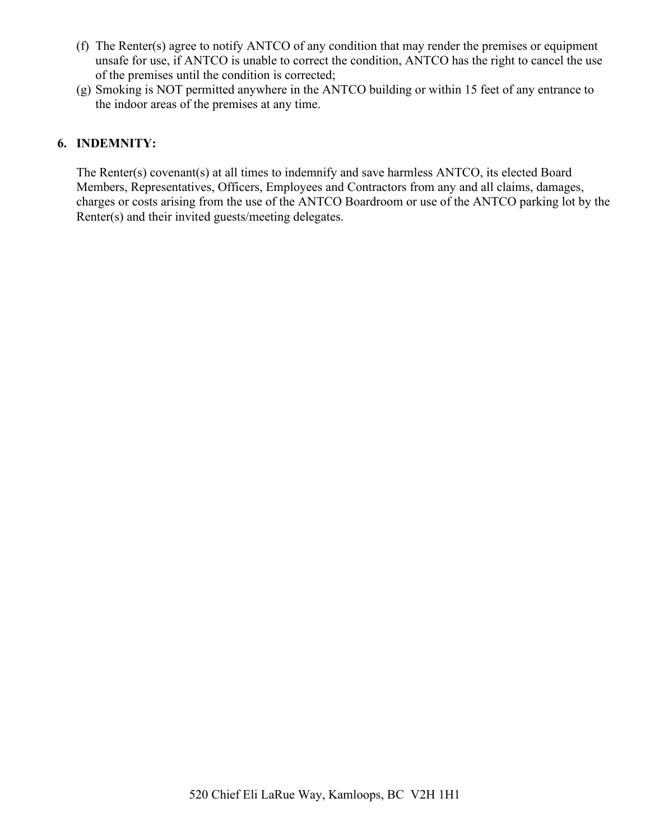- (f) The Renter(s) agree to notify ANTCO of any condition that may render the premises or equipment unsafe for use, if ANTCO is unable to correct the condition, ANTCO has the right to cancel the use of the premises until the condition is corrected;
- (g) Smoking is NOT permitted anywhere in the ANTCO building or within 15 feet of any entrance to the indoor areas of the premises at any time.

#### **6. INDEMNITY:**

The Renter(s) covenant(s) at all times to indemnify and save harmless ANTCO, its elected Board Members, Representatives, Officers, Employees and Contractors from any and all claims, damages, charges or costs arising from the use of the ANTCO Boardroom or use of the ANTCO parking lot by the Renter(s) and their invited guests/meeting delegates.